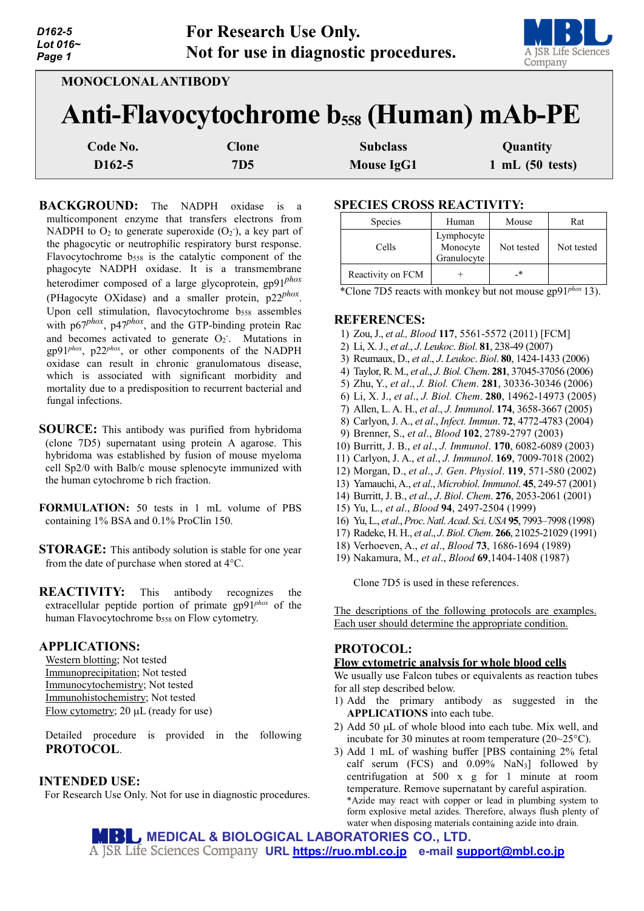| D162-5   | <b>For Research Use Only.</b>         |
|----------|---------------------------------------|
| Lot 016∼ |                                       |
| Paqe 1   | Not for use in diagnostic procedures. |



| <b>MONOCLONAL ANTIBODY</b>                                 |              |                   |                 |  |  |  |
|------------------------------------------------------------|--------------|-------------------|-----------------|--|--|--|
| <b>Anti-Flavocytochrome b<sub>558</sub> (Human) mAb-PE</b> |              |                   |                 |  |  |  |
| Code No.                                                   | <b>Clone</b> | <b>Subclass</b>   | Quantity        |  |  |  |
| D <sub>162</sub> -5                                        | <b>7D5</b>   | <b>Mouse IgG1</b> | 1 mL (50 tests) |  |  |  |

**BACKGROUND:** The NADPH oxidase is a multicomponent enzyme that transfers electrons from NADPH to  $O_2$  to generate superoxide  $(O_2)$ , a key part of the phagocytic or neutrophilic respiratory burst response. Flavocytochrome b<sub>558</sub> is the catalytic component of the phagocyte NADPH oxidase. It is a transmembrane heterodimer composed of a large glycoprotein, gp91*phox* (PHagocyte OXidase) and a smaller protein, p22*phox*. Upon cell stimulation, flavocytochrome b<sub>558</sub> assembles with p67<sup>phox</sup>, p47<sup>phox</sup>, and the GTP-binding protein Rac and becomes activated to generate  $O_2$ . Mutations in gp91*phox*, p22*phox*, or other components of the NADPH oxidase can result in chronic granulomatous disease, which is associated with significant morbidity and mortality due to a predisposition to recurrent bacterial and fungal infections.

**SOURCE:** This antibody was purified from hybridoma (clone 7D5) supernatant using protein A agarose. This hybridoma was established by fusion of mouse myeloma cell Sp2/0 with Balb/c mouse splenocyte immunized with the human cytochrome b rich fraction.

**FORMULATION:** 50 tests in 1 mL volume of PBS containing 1% BSA and 0.1% ProClin 150.

**STORAGE:** This antibody solution is stable for one year from the date of purchase when stored at 4°C.

**REACTIVITY:** This antibody recognizes the extracellular peptide portion of primate gp91*phox* of the human Flavocytochrome b<sub>558</sub> on Flow cytometry.

### **APPLICATIONS:**

Western blotting; Not tested Immunoprecipitation; Not tested Immunocytochemistry; Not tested Immunohistochemistry; Not tested Flow cytometry; 20 µL (ready for use)

Detailed procedure is provided in the following **PROTOCOL**.

# **INTENDED USE:**

For Research Use Only. Not for use in diagnostic procedures.

## **SPECIES CROSS REACTIVITY:**

| <b>Species</b>    | Human                                 | Mouse      | Rat        |
|-------------------|---------------------------------------|------------|------------|
| Cells             | Lymphocyte<br>Monocyte<br>Granulocyte | Not tested | Not tested |
| Reactivity on FCM |                                       | _∗         |            |

\*Clone 7D5 reacts with monkey but not mouse gp91*phox* 13).

### **REFERENCES:**

- 1) Zou, J., *et al., Blood* **117**, 5561-5572 (2011) [FCM]
- 2) Li, X. J., *et al*., *J*. *Leukoc*. *Biol*. **81**, 238-49 (2007)
- 3) Reumaux, D., *et al*., *J*. *Leukoc*. *Biol*. **80**, 1424-1433 (2006)
- 4) Taylor, R. M., *et al*., *J. Biol. Chem*. **281**, 37045-37056 (2006)
- 5) Zhu, Y., *et al*., *J. Biol. Chem*. **281**, 30336-30346 (2006)
- 6) Li, X. J., *et al*., *J. Biol. Chem*. **280**, 14962-14973 (2005)
- 7) Allen, L. A. H., *et al*., *J. Immunol*. **174**, 3658-3667 (2005)
- 8) Carlyon, J. A., *et al*., *Infect. Immun*. **72**, 4772-4783 (2004)
- 9) Brenner, S., *et al*., *Blood* **102**, 2789-2797 (2003)
- 10) Burritt, J. B., *et al*., *J. Immunol*. **170**, 6082-6089 (2003)
- 11) Carlyon, J. A., *et al*., *J. Immunol*. **169**, 7009-7018 (2002)
- 12) Morgan, D., *et al*., *J. Gen*. *Physiol*. **119**, 571-580 (2002)
- 13) Yamauchi, A., *et al*., *Microbiol*. *Immunol*. **45**, 249-57 (2001)
- 14) Burritt, J. B., *et al*., *J*. *Biol*. *Chem*. **276**, 2053-2061 (2001)
- 15) Yu, L., *et al*., *Blood* **94**, 2497-2504 (1999)
- 16) Yu, L., *et al*., *Proc*. *Natl*. *Acad*. *Sci*. *USA***95**, 7993–7998 (1998)
- 17) Radeke, H. H., *et al*., *J*. *Biol*. *Chem*. **266**, 21025-21029 (1991)
- 18) Verhoeven, A., *et al*., *Blood* **73**, 1686-1694 (1989)
- 19) Nakamura, M., *et al*., *Blood* **69**,1404-1408 (1987)

Clone 7D5 is used in these references.

The descriptions of the following protocols are examples. Each user should determine the appropriate condition.

# **PROTOCOL:**

### **Flow cytometric analysis for whole blood cells**

We usually use Falcon tubes or equivalents as reaction tubes for all step described below.

- 1) Add the primary antibody as suggested in the **APPLICATIONS** into each tube.
- 2) Add 50 µL of whole blood into each tube. Mix well, and incubate for 30 minutes at room temperature (20~25°C).
- 3) Add 1 mL of washing buffer [PBS containing 2% fetal calf serum (FCS) and 0.09% NaN3] followed by centrifugation at 500 x g for 1 minute at room temperature. Remove supernatant by careful aspiration. \*Azide may react with copper or lead in plumbing system to form explosive metal azides. Therefore, always flush plenty of water when disposing materials containing azide into drain.

**MEDICAL & BIOLOGICAL LABORATORIES CO., LTD. URL [https://ruo.mbl.co.jp](https://ruo.mbl.co.jp/) e-mail [support@mbl.co.jp](mailto:support@mbl.co.jp)**